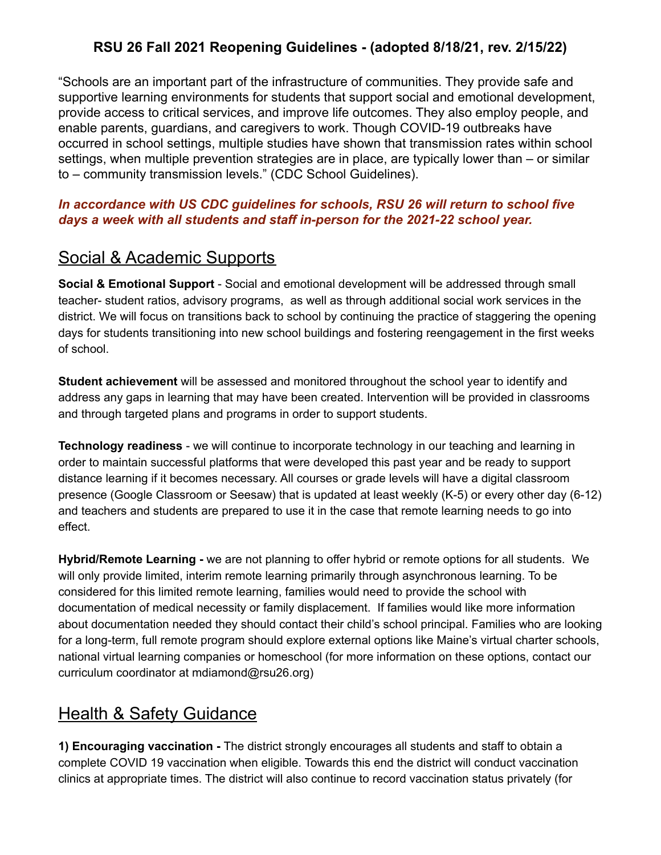### **RSU 26 Fall 2021 Reopening Guidelines - (adopted 8/18/21, rev. 2/15/22)**

"Schools are an important part of the infrastructure of communities. They provide safe and supportive learning environments for students that support social and emotional development, provide access to critical services, and improve life outcomes. They also employ people, and enable parents, guardians, and caregivers to work. Though COVID-19 outbreaks have occurred in school settings, multiple studies have shown that transmission rates within school settings, when multiple prevention strategies are in place, are typically lower than – or similar to – community transmission levels." (CDC School Guidelines).

#### *In accordance with US CDC guidelines for schools, RSU 26 will return to school five days a week with all students and staff in-person for the 2021-22 school year.*

## Social & Academic Supports

**Social & Emotional Support** - Social and emotional development will be addressed through small teacher- student ratios, advisory programs, as well as through additional social work services in the district. We will focus on transitions back to school by continuing the practice of staggering the opening days for students transitioning into new school buildings and fostering reengagement in the first weeks of school.

**Student achievement** will be assessed and monitored throughout the school year to identify and address any gaps in learning that may have been created. Intervention will be provided in classrooms and through targeted plans and programs in order to support students.

**Technology readiness** - we will continue to incorporate technology in our teaching and learning in order to maintain successful platforms that were developed this past year and be ready to support distance learning if it becomes necessary. All courses or grade levels will have a digital classroom presence (Google Classroom or Seesaw) that is updated at least weekly (K-5) or every other day (6-12) and teachers and students are prepared to use it in the case that remote learning needs to go into effect.

**Hybrid/Remote Learning -** we are not planning to offer hybrid or remote options for all students. We will only provide limited, interim remote learning primarily through asynchronous learning. To be considered for this limited remote learning, families would need to provide the school with documentation of medical necessity or family displacement. If families would like more information about documentation needed they should contact their child's school principal. Families who are looking for a long-term, full remote program should explore external options like Maine's virtual charter schools, national virtual learning companies or homeschool (for more information on these options, contact our curriculum coordinator at mdiamond@rsu26.org)

# Health & Safety Guidance

**1) Encouraging vaccination -** The district strongly encourages all students and staff to obtain a complete COVID 19 vaccination when eligible. Towards this end the district will conduct vaccination clinics at appropriate times. The district will also continue to record vaccination status privately (for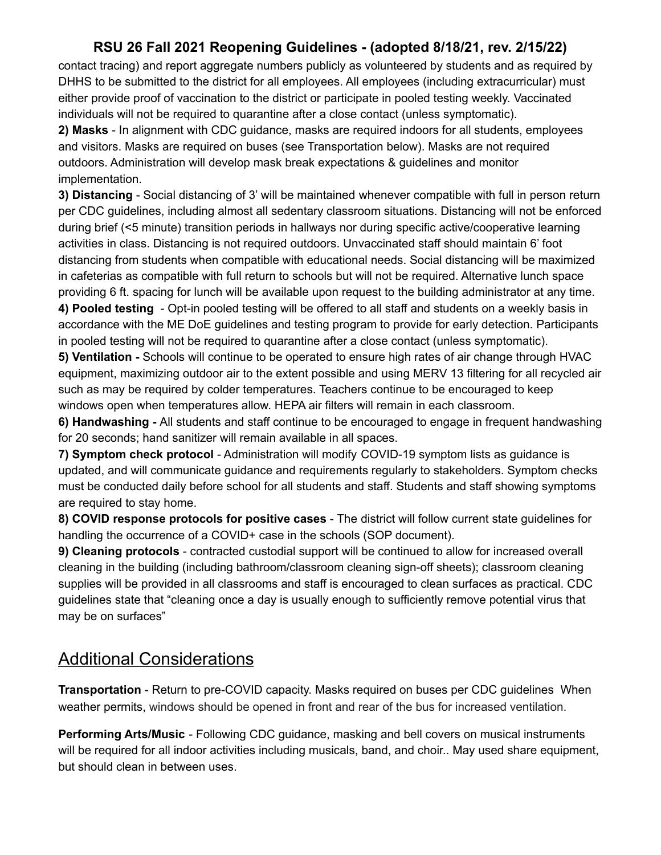### **RSU 26 Fall 2021 Reopening Guidelines - (adopted 8/18/21, rev. 2/15/22)**

contact tracing) and report aggregate numbers publicly as volunteered by students and as required by DHHS to be submitted to the district for all employees. All employees (including extracurricular) must either provide proof of vaccination to the district or participate in pooled testing weekly. Vaccinated individuals will not be required to quarantine after a close contact (unless symptomatic).

**2) Masks** - In alignment with CDC guidance, masks are required indoors for all students, employees and visitors. Masks are required on buses (see Transportation below). Masks are not required outdoors. Administration will develop mask break expectations & guidelines and monitor implementation.

**3) Distancing** - Social distancing of 3' will be maintained whenever compatible with full in person return per CDC guidelines, including almost all sedentary classroom situations. Distancing will not be enforced during brief (<5 minute) transition periods in hallways nor during specific active/cooperative learning activities in class. Distancing is not required outdoors. Unvaccinated staff should maintain 6' foot distancing from students when compatible with educational needs. Social distancing will be maximized in cafeterias as compatible with full return to schools but will not be required. Alternative lunch space providing 6 ft. spacing for lunch will be available upon request to the building administrator at any time.

**4) Pooled testing** - Opt-in pooled testing will be offered to all staff and students on a weekly basis in accordance with the ME DoE guidelines and testing program to provide for early detection. Participants in pooled testing will not be required to quarantine after a close contact (unless symptomatic).

**5) Ventilation -** Schools will continue to be operated to ensure high rates of air change through HVAC equipment, maximizing outdoor air to the extent possible and using MERV 13 filtering for all recycled air such as may be required by colder temperatures. Teachers continue to be encouraged to keep windows open when temperatures allow. HEPA air filters will remain in each classroom.

**6) Handwashing -** All students and staff continue to be encouraged to engage in frequent handwashing for 20 seconds; hand sanitizer will remain available in all spaces.

**7) Symptom check protocol** - Administration will modify COVID-19 symptom lists as guidance is updated, and will communicate guidance and requirements regularly to stakeholders. Symptom checks must be conducted daily before school for all students and staff. Students and staff showing symptoms are required to stay home.

**8) COVID response protocols for positive cases** - The district will follow current state guidelines for handling the occurrence of a COVID+ case in the schools (SOP document).

**9) Cleaning protocols** - contracted custodial support will be continued to allow for increased overall cleaning in the building (including bathroom/classroom cleaning sign-off sheets); classroom cleaning supplies will be provided in all classrooms and staff is encouraged to clean surfaces as practical. CDC guidelines state that "cleaning once a day is usually enough to sufficiently remove potential virus that may be on surfaces"

# Additional Considerations

**Transportation** - Return to pre-COVID capacity. Masks required on buses per CDC guidelines When weather permits, windows should be opened in front and rear of the bus for increased ventilation.

**Performing Arts/Music** - Following CDC guidance, masking and bell covers on musical instruments will be required for all indoor activities including musicals, band, and choir.. May used share equipment, but should clean in between uses.